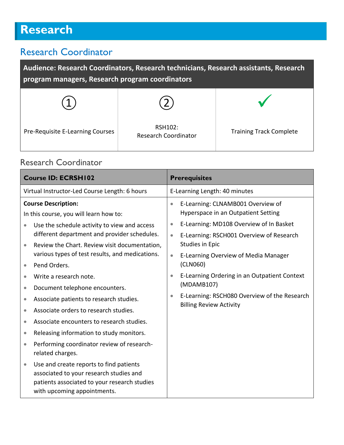# **Research**

### Research Coordinator

| Audience: Research Coordinators, Research technicians, Research assistants, Research<br>program managers, Research program coordinators |                                        |                                |  |
|-----------------------------------------------------------------------------------------------------------------------------------------|----------------------------------------|--------------------------------|--|
|                                                                                                                                         |                                        |                                |  |
| Pre-Requisite E-Learning Courses                                                                                                        | RSH102:<br><b>Research Coordinator</b> | <b>Training Track Complete</b> |  |

#### Research Coordinator

| <b>Course ID: ECRSH102</b>                                                                                                                                                                                                                                                                                                                                                                                                                                                                | <b>Prerequisites</b>                                                                                                                                                                                                                                                                                                                                    |  |
|-------------------------------------------------------------------------------------------------------------------------------------------------------------------------------------------------------------------------------------------------------------------------------------------------------------------------------------------------------------------------------------------------------------------------------------------------------------------------------------------|---------------------------------------------------------------------------------------------------------------------------------------------------------------------------------------------------------------------------------------------------------------------------------------------------------------------------------------------------------|--|
| Virtual Instructor-Led Course Length: 6 hours                                                                                                                                                                                                                                                                                                                                                                                                                                             | E-Learning Length: 40 minutes                                                                                                                                                                                                                                                                                                                           |  |
| <b>Course Description:</b><br>In this course, you will learn how to:<br>Use the schedule activity to view and access<br>different department and provider schedules.<br>Review the Chart. Review visit documentation,<br>various types of test results, and medications.<br>Pend Orders.<br>Write a research note.                                                                                                                                                                        | E-Learning: CLNAMB001 Overview of<br>$\bullet$<br>Hyperspace in an Outpatient Setting<br>E-Learning: MD108 Overview of In Basket<br>$\bullet$<br>E-Learning: RSCH001 Overview of Research<br>$\bullet$<br>Studies in Epic<br>E-Learning Overview of Media Manager<br>$\bullet$<br>(CLN060)<br>E-Learning Ordering in an Outpatient Context<br>$\bullet$ |  |
| Document telephone encounters.<br>$\bullet$<br>Associate patients to research studies.<br>$\bullet$<br>Associate orders to research studies.<br>Associate encounters to research studies.<br>Releasing information to study monitors.<br>$\bullet$<br>Performing coordinator review of research-<br>related charges.<br>Use and create reports to find patients<br>associated to your research studies and<br>patients associated to your research studies<br>with upcoming appointments. | (MDAMB107)<br>E-Learning: RSCH080 Overview of the Research<br>٠<br><b>Billing Review Activity</b>                                                                                                                                                                                                                                                       |  |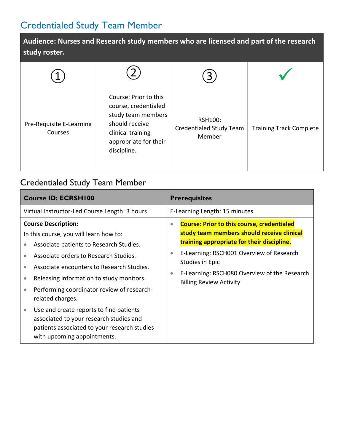### Credentialed Study Team Member

**Audience: Nurses and Research study members who are licensed and part of the research study roster.** 

| Pre-Requisite E-Learning<br>Courses | Course: Prior to this<br>course, credentialed<br>study team members<br>should receive<br>clinical training<br>appropriate for their<br>discipline. | <b>RSH100:</b><br>Credentialed Study Team<br>Member | <b>Training Track Complete</b> |
|-------------------------------------|----------------------------------------------------------------------------------------------------------------------------------------------------|-----------------------------------------------------|--------------------------------|

### Credentialed Study Team Member

| <b>Course ID: ECRSH100</b>                                                                                                                                                                                                              | <b>Prerequisites</b>                                                                                                                                                    |  |
|-----------------------------------------------------------------------------------------------------------------------------------------------------------------------------------------------------------------------------------------|-------------------------------------------------------------------------------------------------------------------------------------------------------------------------|--|
| Virtual Instructor-Led Course Length: 3 hours                                                                                                                                                                                           | E-Learning Length: 15 minutes                                                                                                                                           |  |
| <b>Course Description:</b><br>In this course, you will learn how to:<br>Associate patients to Research Studies.                                                                                                                         | <b>Course: Prior to this course, credentialed</b><br>$\bullet$<br>study team members should receive clinical<br>training appropriate for their discipline.              |  |
| Associate orders to Research Studies.<br>$\bullet$<br>Associate encounters to Research Studies.<br>$\bullet$<br>Releasing information to study monitors.<br>$\bullet$<br>Performing coordinator review of research-<br>related charges. | E-Learning: RSCH001 Overview of Research<br>$\bullet$<br>Studies in Epic<br>E-Learning: RSCH080 Overview of the Research<br>$\bullet$<br><b>Billing Review Activity</b> |  |
| Use and create reports to find patients<br>associated to your research studies and<br>patients associated to your research studies<br>with upcoming appointments.                                                                       |                                                                                                                                                                         |  |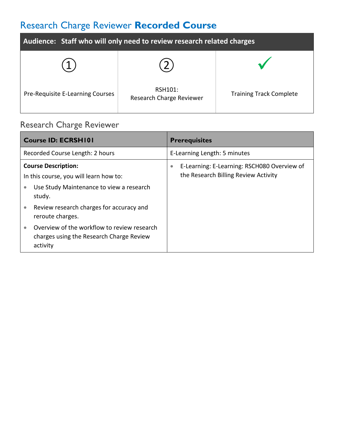## Research Charge Reviewer **Recorded Course**

| Audience: Staff who will only need to review research related charges |                                            |                                |  |
|-----------------------------------------------------------------------|--------------------------------------------|--------------------------------|--|
|                                                                       |                                            |                                |  |
| Pre-Requisite E-Learning Courses                                      | RSH101:<br><b>Research Charge Reviewer</b> | <b>Training Track Complete</b> |  |

### Research Charge Reviewer

| <b>Course ID: ECRSH101</b>                                                                                                              | <b>Prerequisites</b>                                                                             |
|-----------------------------------------------------------------------------------------------------------------------------------------|--------------------------------------------------------------------------------------------------|
| Recorded Course Length: 2 hours                                                                                                         | E-Learning Length: 5 minutes                                                                     |
| <b>Course Description:</b><br>In this course, you will learn how to:<br>Use Study Maintenance to view a research<br>$\bullet$<br>study. | E-Learning: E-Learning: RSCH080 Overview of<br>$\bullet$<br>the Research Billing Review Activity |
| Review research charges for accuracy and<br>reroute charges.                                                                            |                                                                                                  |
| Overview of the workflow to review research<br>$\bullet$<br>charges using the Research Charge Review<br>activity                        |                                                                                                  |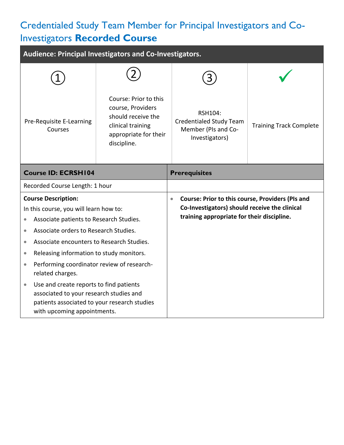### Credentialed Study Team Member for Principal Investigators and Co-Investigators **Recorded Course**

| Audience: Principal Investigators and Co-Investigators.                                                                                                                        |                                                                                                                               |                                                                                                                                                              |                                |
|--------------------------------------------------------------------------------------------------------------------------------------------------------------------------------|-------------------------------------------------------------------------------------------------------------------------------|--------------------------------------------------------------------------------------------------------------------------------------------------------------|--------------------------------|
|                                                                                                                                                                                |                                                                                                                               |                                                                                                                                                              |                                |
| Pre-Requisite E-Learning<br>Courses                                                                                                                                            | Course: Prior to this<br>course, Providers<br>should receive the<br>clinical training<br>appropriate for their<br>discipline. | RSH104:<br><b>Credentialed Study Team</b><br>Member (PIs and Co-<br>Investigators)                                                                           | <b>Training Track Complete</b> |
| <b>Course ID: ECRSH104</b>                                                                                                                                                     |                                                                                                                               | <b>Prerequisites</b>                                                                                                                                         |                                |
| Recorded Course Length: 1 hour                                                                                                                                                 |                                                                                                                               |                                                                                                                                                              |                                |
| <b>Course Description:</b>                                                                                                                                                     |                                                                                                                               | Course: Prior to this course, Providers (PIs and<br>$\bullet$<br>Co-Investigators) should receive the clinical<br>training appropriate for their discipline. |                                |
| In this course, you will learn how to:                                                                                                                                         |                                                                                                                               |                                                                                                                                                              |                                |
| Associate patients to Research Studies.                                                                                                                                        |                                                                                                                               |                                                                                                                                                              |                                |
| Associate orders to Research Studies.<br>$\bullet$                                                                                                                             |                                                                                                                               |                                                                                                                                                              |                                |
| Associate encounters to Research Studies.<br>$\bullet$                                                                                                                         |                                                                                                                               |                                                                                                                                                              |                                |
| Releasing information to study monitors.<br>$\bullet$                                                                                                                          |                                                                                                                               |                                                                                                                                                              |                                |
| Performing coordinator review of research-<br>$\bullet$<br>related charges.                                                                                                    |                                                                                                                               |                                                                                                                                                              |                                |
| Use and create reports to find patients<br>$\bullet$<br>associated to your research studies and<br>patients associated to your research studies<br>with upcoming appointments. |                                                                                                                               |                                                                                                                                                              |                                |